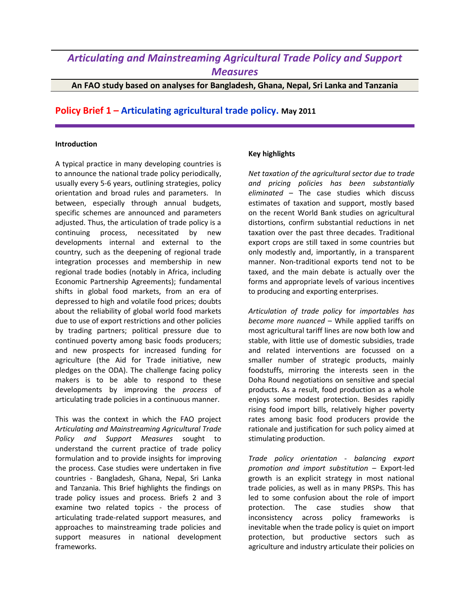# *Articulating and Mainstreaming Agricultural Trade Policy and Support Measures*

## **An FAO study based on analyses for Bangladesh, Ghana, Nepal, Sri Lanka and Tanzania**

# **Policy Brief 1 – Articulating agricultural trade policy. May 2011**

#### **Introduction**

A typical practice in many developing countries is to announce the national trade policy periodically, usually every 5-6 years, outlining strategies, policy orientation and broad rules and parameters. In between, especially through annual budgets, specific schemes are announced and parameters adjusted. Thus, the articulation of trade policy is a continuing process, necessitated by new developments internal and external to the country, such as the deepening of regional trade integration processes and membership in new regional trade bodies (notably in Africa, including Economic Partnership Agreements); fundamental shifts in global food markets, from an era of depressed to high and volatile food prices; doubts about the reliability of global world food markets due to use of export restrictions and other policies by trading partners; political pressure due to continued poverty among basic foods producers; and new prospects for increased funding for agriculture (the Aid for Trade initiative, new pledges on the ODA). The challenge facing policy makers is to be able to respond to these developments by improving the *process* of articulating trade policies in a continuous manner.

This was the context in which the FAO project *Articulating and Mainstreaming Agricultural Trade Policy and Support Measures* sought to understand the current practice of trade policy formulation and to provide insights for improving the process. Case studies were undertaken in five countries - Bangladesh, Ghana, Nepal, Sri Lanka and Tanzania. This Brief highlights the findings on trade policy issues and process. Briefs 2 and 3 examine two related topics - the process of articulating trade-related support measures, and approaches to mainstreaming trade policies and support measures in national development frameworks.

### **Key highlights**

*Net taxation of the agricultural sector due to trade and pricing policies has been substantially eliminated* – The case studies which discuss estimates of taxation and support, mostly based on the recent World Bank studies on agricultural distortions, confirm substantial reductions in net taxation over the past three decades. Traditional export crops are still taxed in some countries but only modestly and, importantly, in a transparent manner. Non-traditional exports tend not to be taxed, and the main debate is actually over the forms and appropriate levels of various incentives to producing and exporting enterprises.

*Articulation of trade policy* for *importables has become more nuanced* – While applied tariffs on most agricultural tariff lines are now both low and stable, with little use of domestic subsidies, trade and related interventions are focussed on a smaller number of strategic products, mainly foodstuffs, mirroring the interests seen in the Doha Round negotiations on sensitive and special products. As a result, food production as a whole enjoys some modest protection. Besides rapidly rising food import bills, relatively higher poverty rates among basic food producers provide the rationale and justification for such policy aimed at stimulating production.

*Trade policy orientation - balancing export promotion and import substitution* – Export-led growth is an explicit strategy in most national trade policies, as well as in many PRSPs. This has led to some confusion about the role of import protection. The case studies show that inconsistency across policy frameworks is inevitable when the trade policy is quiet on import protection, but productive sectors such as agriculture and industry articulate their policies on